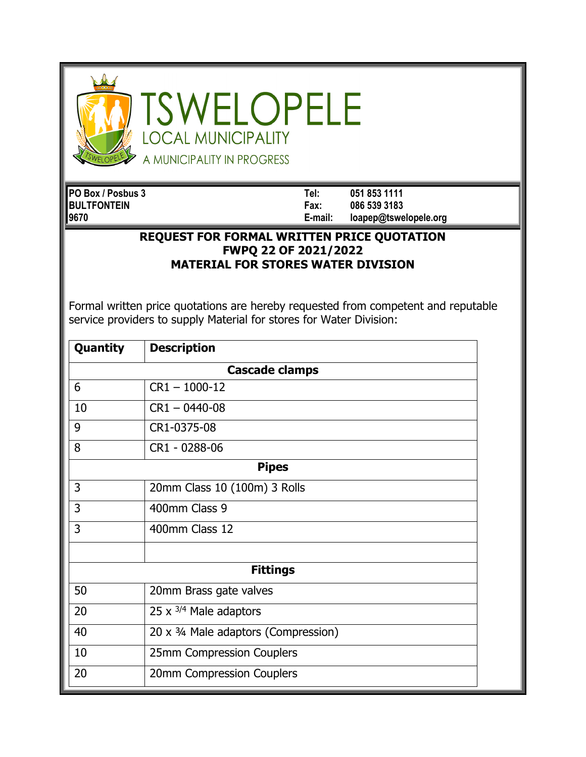

**TSWELOPELE** LOCAL MUNICIPALITY A MUNICIPALITY IN PROGRESS

**PO Box / Posbus 3 Tel: 051 853 1111 BULTFONTEIN Fax: 086 539 3183 9670 E-mail: loapep@tswelopele.org**

## **REQUEST FOR FORMAL WRITTEN PRICE QUOTATION FWPQ 22 OF 2021/2022 MATERIAL FOR STORES WATER DIVISION**

Formal written price quotations are hereby requested from competent and reputable service providers to supply Material for stores for Water Division:

| Quantity | <b>Description</b>                             |
|----------|------------------------------------------------|
|          | <b>Cascade clamps</b>                          |
| 6        | $CR1 - 1000 - 12$                              |
| 10       | $CR1 - 0440 - 08$                              |
| 9        | CR1-0375-08                                    |
| 8        | CR1 - 0288-06                                  |
|          | <b>Pipes</b>                                   |
| 3        | 20mm Class 10 (100m) 3 Rolls                   |
| 3        | 400mm Class 9                                  |
| 3        | 400mm Class 12                                 |
|          |                                                |
|          | <b>Fittings</b>                                |
| 50       | 20mm Brass gate valves                         |
| 20       | 25 $\times$ 3/4 Male adaptors                  |
| 40       | 20 x $\frac{3}{4}$ Male adaptors (Compression) |
| 10       | 25mm Compression Couplers                      |
| 20       | 20mm Compression Couplers                      |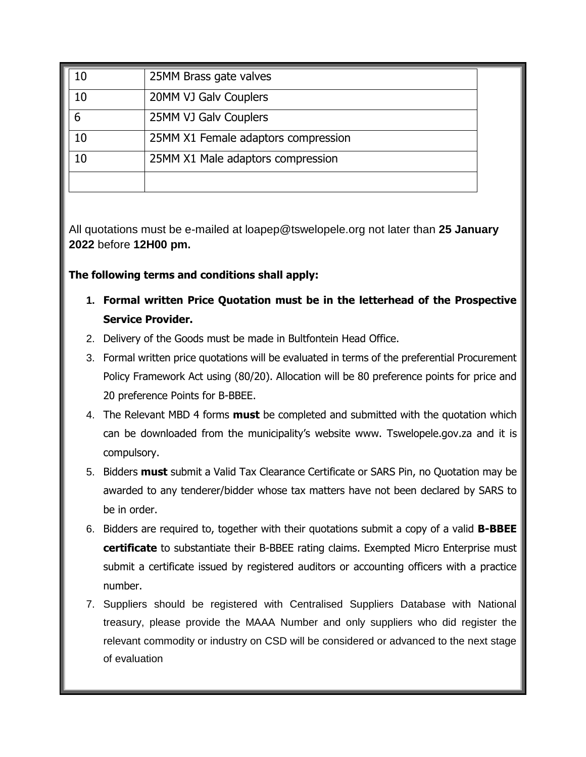| 10 | 25MM Brass gate valves              |
|----|-------------------------------------|
| 10 | 20MM VJ Galv Couplers               |
| 6  | 25MM VJ Galv Couplers               |
| 10 | 25MM X1 Female adaptors compression |
| 10 | 25MM X1 Male adaptors compression   |
|    |                                     |

All quotations must be e-mailed at loapep@tswelopele.org not later than **25 January 2022** before **12H00 pm.**

## **The following terms and conditions shall apply:**

- **1. Formal written Price Quotation must be in the letterhead of the Prospective Service Provider.**
- 2. Delivery of the Goods must be made in Bultfontein Head Office.
- 3. Formal written price quotations will be evaluated in terms of the preferential Procurement Policy Framework Act using (80/20). Allocation will be 80 preference points for price and 20 preference Points for B-BBEE.
- 4. The Relevant MBD 4 forms **must** be completed and submitted with the quotation which can be downloaded from the municipality's website www. Tswelopele.gov.za and it is compulsory.
- 5. Bidders **must** submit a Valid Tax Clearance Certificate or SARS Pin, no Quotation may be awarded to any tenderer/bidder whose tax matters have not been declared by SARS to be in order.
- 6. Bidders are required to, together with their quotations submit a copy of a valid **B-BBEE certificate** to substantiate their B-BBEE rating claims. Exempted Micro Enterprise must submit a certificate issued by registered auditors or accounting officers with a practice number.
- 7. Suppliers should be registered with Centralised Suppliers Database with National treasury, please provide the MAAA Number and only suppliers who did register the relevant commodity or industry on CSD will be considered or advanced to the next stage of evaluation